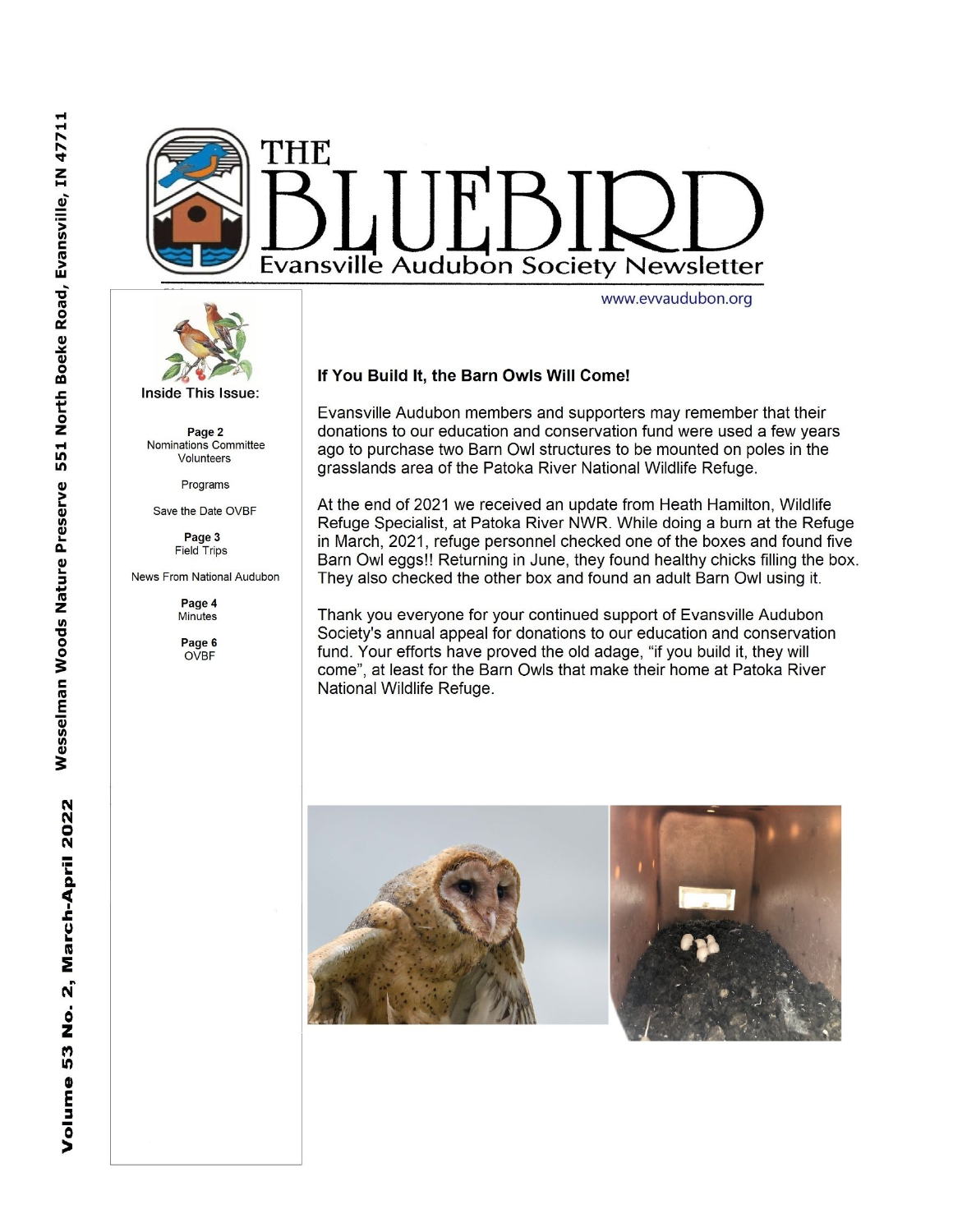



Inside This Issue:

Page 2 Nominations Committee Volunteers

Programs

Save the Date OVBF

Page 3 **Field Trips** 

News From National Audubon

Page 4 **Minutes** 

Page 6 **OVBF** 

## If You Build It, the Barn Owls Will Come!

Evansville Audubon members and supporters may remember that their donations to our education and conservation fund were used a few years ago to purchase two Barn Owl structures to be mounted on poles in the grasslands area of the Patoka River National Wildlife Refuge.

At the end of 2021 we received an update from Heath Hamilton, Wildlife Refuge Specialist, at Patoka River NWR. While doing a burn at the Refuge in March, 2021, refuge personnel checked one of the boxes and found five Barn Owl eggs!! Returning in June, they found healthy chicks filling the box. They also checked the other box and found an adult Barn Owl using it.

Thank you everyone for your continued support of Evansville Audubon Society's annual appeal for donations to our education and conservation fund. Your efforts have proved the old adage, "if you build it, they will come", at least for the Barn Owls that make their home at Patoka River National Wildlife Refuge.



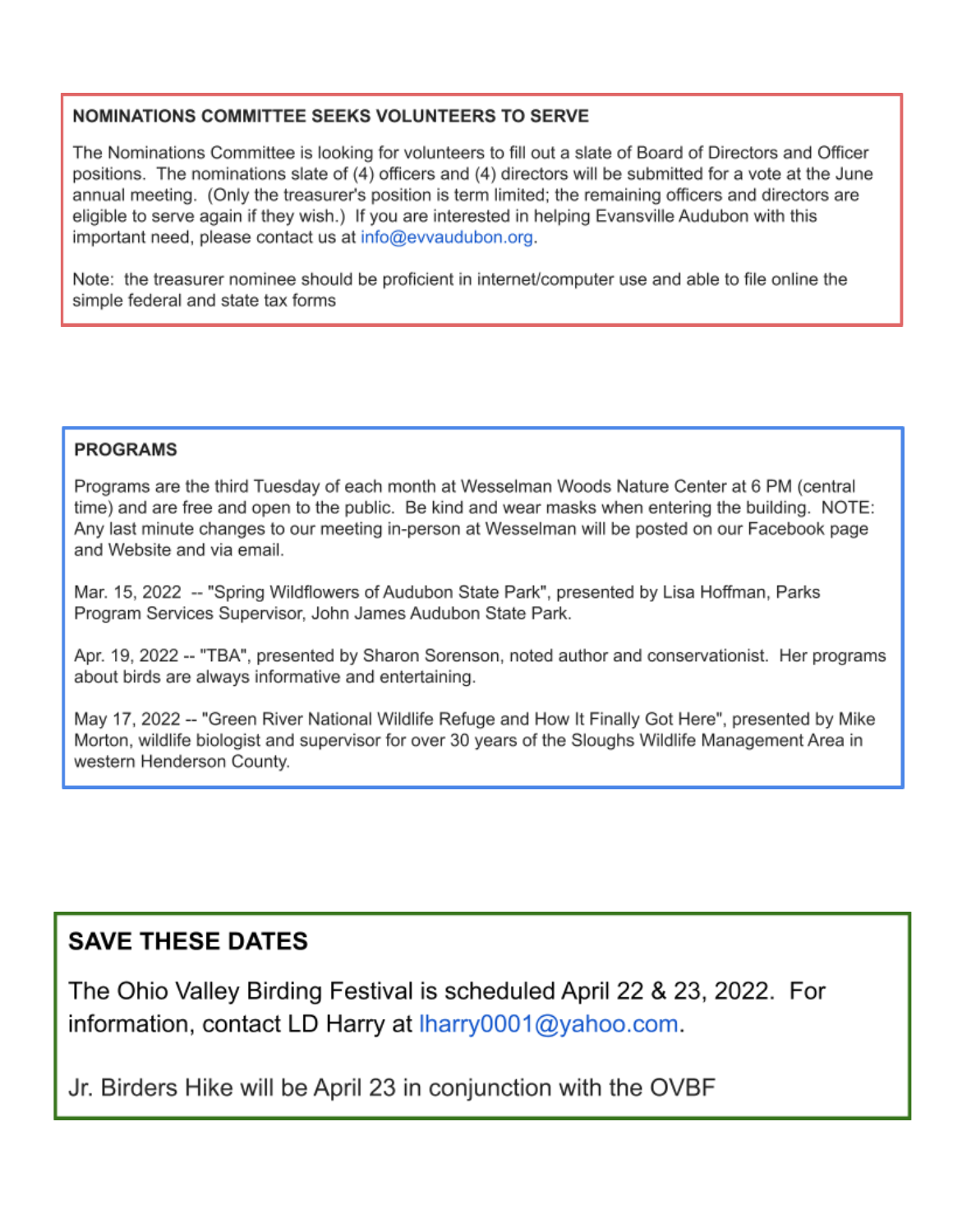# NOMINATIONS COMMITTEE SEEKS VOLUNTEERS TO SERVE

The Nominations Committee is looking for volunteers to fill out a slate of Board of Directors and Officer positions. The nominations slate of (4) officers and (4) directors will be submitted for a vote at the June annual meeting. (Only the treasurer's position is term limited; the remaining officers and directors are eligible to serve again if they wish.) If you are interested in helping Evansville Audubon with this important need, please contact us at info@evvaudubon.org.

Note: the treasurer nominee should be proficient in internet/computer use and able to file online the simple federal and state tax forms

# **PROGRAMS**

Programs are the third Tuesday of each month at Wesselman Woods Nature Center at 6 PM (central time) and are free and open to the public. Be kind and wear masks when entering the building. NOTE: Any last minute changes to our meeting in-person at Wesselman will be posted on our Facebook page and Website and via email.

Mar. 15, 2022 -- "Spring Wildflowers of Audubon State Park", presented by Lisa Hoffman, Parks Program Services Supervisor, John James Audubon State Park.

Apr. 19, 2022 -- "TBA", presented by Sharon Sorenson, noted author and conservationist. Her programs about birds are always informative and entertaining.

May 17, 2022 -- "Green River National Wildlife Refuge and How It Finally Got Here", presented by Mike Morton, wildlife biologist and supervisor for over 30 years of the Sloughs Wildlife Management Area in western Henderson County.

# **SAVE THESE DATES**

The Ohio Valley Birding Festival is scheduled April 22 & 23, 2022. For information, contact LD Harry at Iharry0001@yahoo.com.

Jr. Birders Hike will be April 23 in conjunction with the OVBF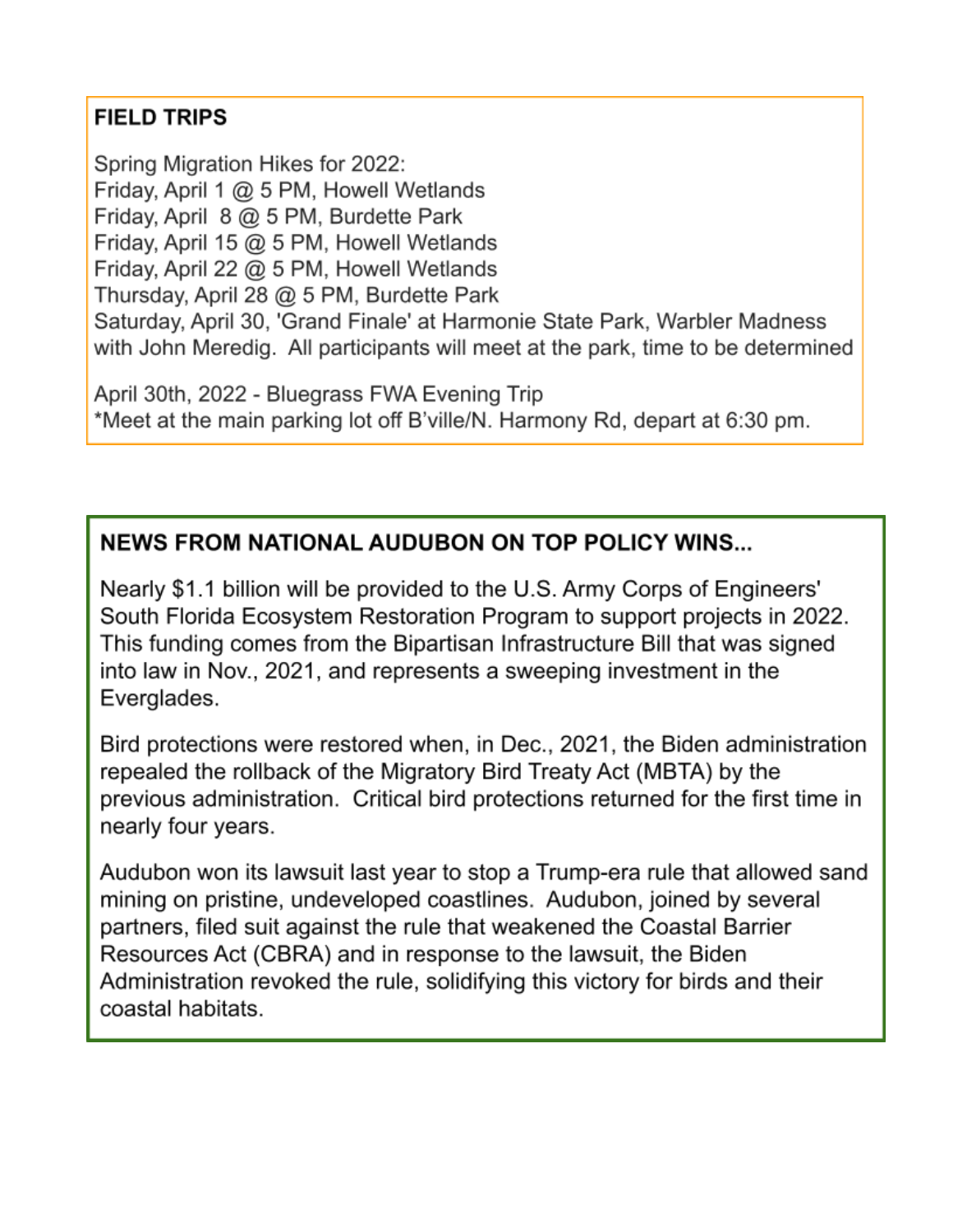# **FIELD TRIPS**

Spring Migration Hikes for 2022: Friday, April 1 @ 5 PM, Howell Wetlands Friday, April 8 @ 5 PM, Burdette Park Friday, April 15 @ 5 PM, Howell Wetlands Friday, April 22 @ 5 PM, Howell Wetlands Thursday, April 28 @ 5 PM, Burdette Park Saturday, April 30, 'Grand Finale' at Harmonie State Park, Warbler Madness with John Meredig. All participants will meet at the park, time to be determined

April 30th, 2022 - Bluegrass FWA Evening Trip \*Meet at the main parking lot off B'ville/N. Harmony Rd, depart at 6:30 pm.

# **NEWS FROM NATIONAL AUDUBON ON TOP POLICY WINS...**

Nearly \$1.1 billion will be provided to the U.S. Army Corps of Engineers' South Florida Ecosystem Restoration Program to support projects in 2022. This funding comes from the Bipartisan Infrastructure Bill that was signed into law in Nov., 2021, and represents a sweeping investment in the Everglades.

Bird protections were restored when, in Dec., 2021, the Biden administration repealed the rollback of the Migratory Bird Treaty Act (MBTA) by the previous administration. Critical bird protections returned for the first time in nearly four years.

Audubon won its lawsuit last year to stop a Trump-era rule that allowed sand mining on pristine, undeveloped coastlines. Audubon, joined by several partners, filed suit against the rule that weakened the Coastal Barrier Resources Act (CBRA) and in response to the lawsuit, the Biden Administration revoked the rule, solidifying this victory for birds and their coastal habitats.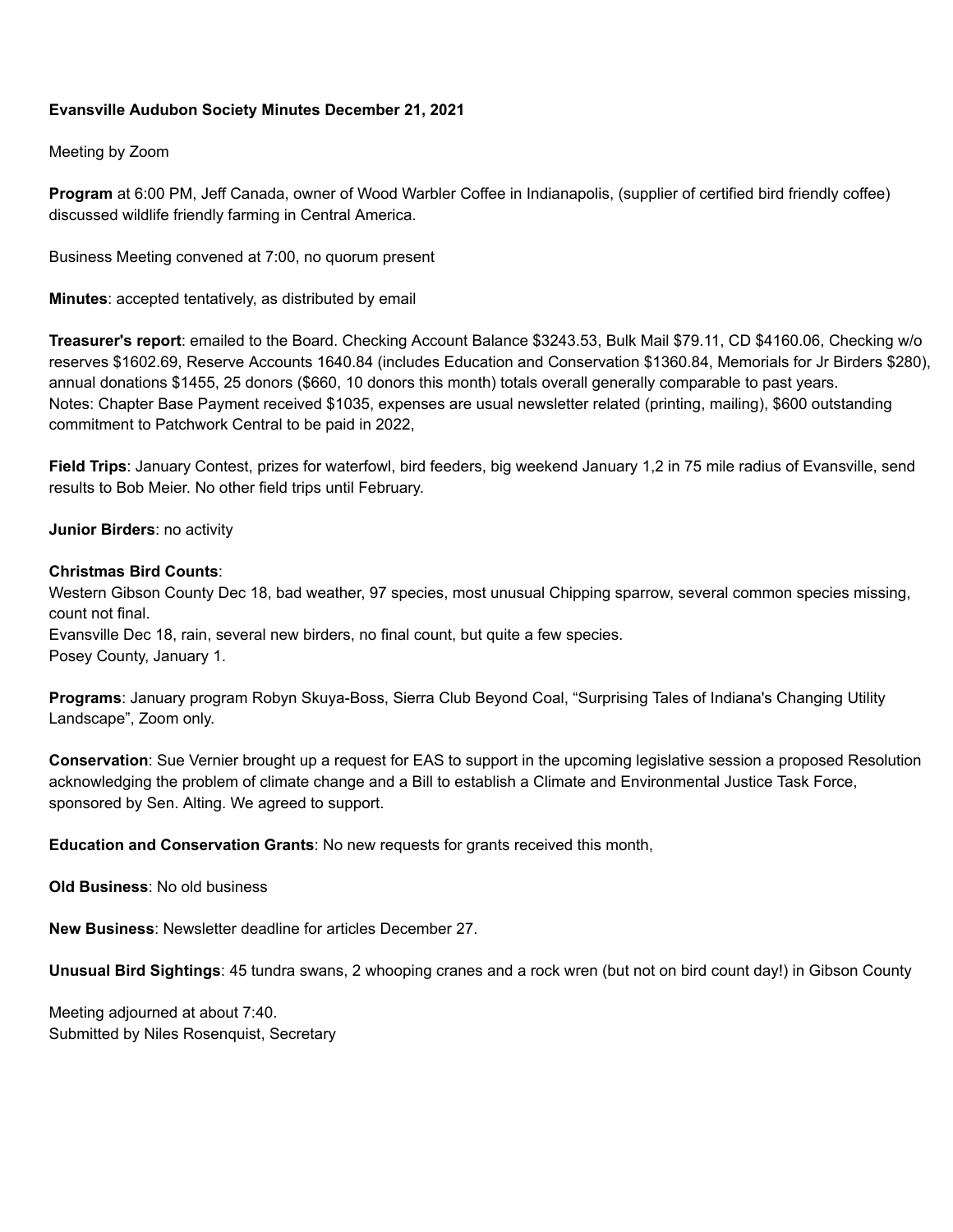## **Evansville Audubon Society Minutes December 21, 2021**

Meeting by Zoom

**Program** at 6:00 PM, Jeff Canada, owner of Wood Warbler Coffee in Indianapolis, (supplier of certified bird friendly coffee) discussed wildlife friendly farming in Central America.

Business Meeting convened at 7:00, no quorum present

**Minutes**: accepted tentatively, as distributed by email

**Treasurer's report**: emailed to the Board. Checking Account Balance \$3243.53, Bulk Mail \$79.11, CD \$4160.06, Checking w/o reserves \$1602.69, Reserve Accounts 1640.84 (includes Education and Conservation \$1360.84, Memorials for Jr Birders \$280), annual donations \$1455, 25 donors (\$660, 10 donors this month) totals overall generally comparable to past years. Notes: Chapter Base Payment received \$1035, expenses are usual newsletter related (printing, mailing), \$600 outstanding commitment to Patchwork Central to be paid in 2022,

**Field Trips**: January Contest, prizes for waterfowl, bird feeders, big weekend January 1,2 in 75 mile radius of Evansville, send results to Bob Meier. No other field trips until February.

**Junior Birders**: no activity

#### **Christmas Bird Counts**:

Western Gibson County Dec 18, bad weather, 97 species, most unusual Chipping sparrow, several common species missing, count not final.

Evansville Dec 18, rain, several new birders, no final count, but quite a few species. Posey County, January 1.

**Programs**: January program Robyn Skuya-Boss, Sierra Club Beyond Coal, "Surprising Tales of Indiana's Changing Utility Landscape", Zoom only.

**Conservation**: Sue Vernier brought up a request for EAS to support in the upcoming legislative session a proposed Resolution acknowledging the problem of climate change and a Bill to establish a Climate and Environmental Justice Task Force, sponsored by Sen. Alting. We agreed to support.

**Education and Conservation Grants**: No new requests for grants received this month,

**Old Business**: No old business

**New Business**: Newsletter deadline for articles December 27.

**Unusual Bird Sightings**: 45 tundra swans, 2 whooping cranes and a rock wren (but not on bird count day!) in Gibson County

Meeting adjourned at about 7:40. Submitted by Niles Rosenquist, Secretary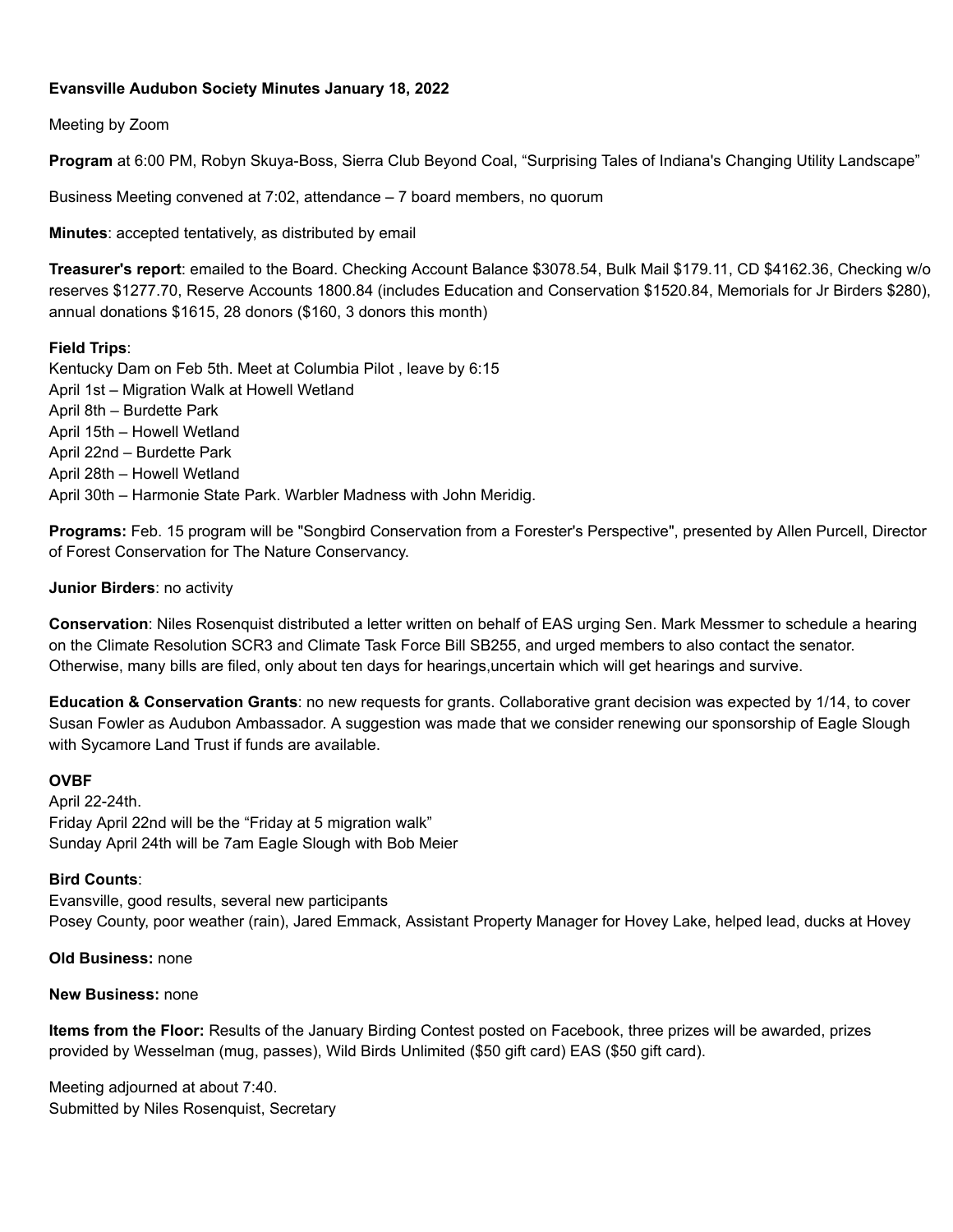## **Evansville Audubon Society Minutes January 18, 2022**

## Meeting by Zoom

**Program** at 6:00 PM, Robyn Skuya-Boss, Sierra Club Beyond Coal, "Surprising Tales of Indiana's Changing Utility Landscape"

Business Meeting convened at 7:02, attendance – 7 board members, no quorum

**Minutes**: accepted tentatively, as distributed by email

**Treasurer's report**: emailed to the Board. Checking Account Balance \$3078.54, Bulk Mail \$179.11, CD \$4162.36, Checking w/o reserves \$1277.70, Reserve Accounts 1800.84 (includes Education and Conservation \$1520.84, Memorials for Jr Birders \$280), annual donations \$1615, 28 donors (\$160, 3 donors this month)

## **Field Trips**:

Kentucky Dam on Feb 5th. Meet at Columbia Pilot , leave by 6:15 April 1st – Migration Walk at Howell Wetland April 8th – Burdette Park April 15th – Howell Wetland April 22nd – Burdette Park April 28th – Howell Wetland April 30th – Harmonie State Park. Warbler Madness with John Meridig.

**Programs:** Feb. 15 program will be "Songbird Conservation from a Forester's Perspective", presented by Allen Purcell, Director of Forest Conservation for The Nature Conservancy.

#### **Junior Birders**: no activity

**Conservation**: Niles Rosenquist distributed a letter written on behalf of EAS urging Sen. Mark Messmer to schedule a hearing on the Climate Resolution SCR3 and Climate Task Force Bill SB255, and urged members to also contact the senator. Otherwise, many bills are filed, only about ten days for hearings,uncertain which will get hearings and survive.

**Education & Conservation Grants**: no new requests for grants. Collaborative grant decision was expected by 1/14, to cover Susan Fowler as Audubon Ambassador. A suggestion was made that we consider renewing our sponsorship of Eagle Slough with Sycamore Land Trust if funds are available.

#### **OVBF**

April 22-24th. Friday April 22nd will be the "Friday at 5 migration walk" Sunday April 24th will be 7am Eagle Slough with Bob Meier

#### **Bird Counts**:

Evansville, good results, several new participants Posey County, poor weather (rain), Jared Emmack, Assistant Property Manager for Hovey Lake, helped lead, ducks at Hovey

## **Old Business:** none

#### **New Business:** none

**Items from the Floor:** Results of the January Birding Contest posted on Facebook, three prizes will be awarded, prizes provided by Wesselman (mug, passes), Wild Birds Unlimited (\$50 gift card) EAS (\$50 gift card).

Meeting adjourned at about 7:40. Submitted by Niles Rosenquist, Secretary